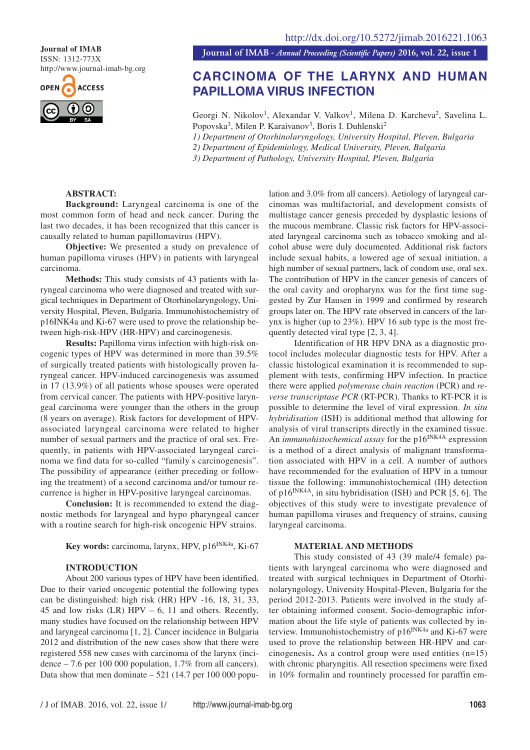ISSN: 1312-773X http://www.journal-imab-bg.org



**Journal of IMAB**<br>**Journal of IMAB** - *Annual Proceeding (Scientific Papers)* 2016, vol. 22, issue 1

# **CARCINOMA OF THE LARYNX AND HUMAN PAPILLOMA VIRUS INFECTION**

Georgi N. Nikolov<sup>1</sup>, Alexandar V. Valkov<sup>1</sup>, Milena D. Karcheva<sup>2</sup>, Savelina L. Popovska<sup>3</sup>, Milen P. Karaivanov<sup>3</sup>, Boris I. Duhlenski<sup>2</sup>

*1) Department of Otorhinolaryngology, University Hospital, Pleven, Bulgaria*

*2) Department of Epidemiology, Medical University, Pleven, Bulgaria*

*3) Department of Pathology, University Hospital, Pleven, Bulgaria*

# **ABSTRACT:**

**Background:** Laryngeal carcinoma is one of the most common form of head and neck cancer. During the last two decades, it has been recognized that this cancer is causally related to human papillomavirus (HPV).

**Objective:** We presented a study on prevalence of human papilloma viruses (HPV) in patients with laryngeal carcinoma.

**Methods:** This study consists of 43 patients with laryngeal carcinoma who were diagnosed and treated with surgical techniques in Department of Otorhinolaryngology, University Hospital, Pleven, Bulgaria. Immunohistochemistry of p16INK4a and Ki-67 were used to prove the relationship between high-risk-HPV (HR-HPV) and carcinogenesis.

**Results:** Papilloma virus infection with high-risk oncogenic types of HPV was determined in more than 39.5% of surgically treated patients with histologically proven laryngeal cancer. HPV-induced carcinogenesis was assumed in 17 (13.9%) of all patients whose spouses were operated from cervical cancer. The patients with HPV-positive laryngeal carcinoma were younger than the others in the group (8 years on average). Risk factors for development of HPVassociated laryngeal carcinoma were related to higher number of sexual partners and the practice of oral sex. Frequently, in patients with HPV-associated laryngeal carcinoma we find data for so-called "family' s carcinogenesis". The possibility of appearance (either preceding or following the treatment) of a second carcinoma and/or tumour recurrence is higher in HPV-positive laryngeal carcinomas.

**Conclusion:** It is recommended to extend the diagnostic methods for laryngeal and hypo pharyngeal cancer with a routine search for high-risk oncogenic HPV strains.

**Key words:** carcinoma, larynx, HPV, p16<sup>INK4a</sup>, Ki-67

#### **INTRODUCTION**

About 200 various types of HPV have been identified. Due to their varied oncogenic potential the following types can be distinguished: high risk (HR) HPV -16, 18, 31, 33, 45 and low risks  $(LR)$  HPV – 6, 11 and others. Recently, many studies have focused on the relationship between HPV and laryngeal carcinoma [1, 2]. Cancer incidence in Bulgaria 2012 and distribution of the new cases show that there were registered 558 new cases with carcinoma of the larynx (incidence – 7.6 per 100 000 population, 1.7% from all cancers). Data show that men dominate  $-521$  (14.7 per 100 000 population and 3.0% from all cancers). Aetiology of laryngeal carcinomas was multifactorial, and development consists of multistage cancer genesis preceded by dysplastic lesions of the mucous membrane. Classic risk factors for HPV-associated laryngeal carcinoma such as tobacco smoking and alcohol abuse were duly documented. Additional risk factors include sexual habits, a lowered age of sexual initiation, a high number of sexual partners, lack of condom use, oral sex. The contribution of HPV in the cancer genesis of cancers of the oral cavity and oropharynx was for the first time suggested by Zur Hausen in 1999 and confirmed by research groups later on. The HPV rate observed in cancers of the larynx is higher (up to 23%). HPV 16 sub type is the most frequently detected viral type [2, 3, 4].

Identification of HR HPV DNA as a diagnostic protocol includes molecular diagnostic tests for HPV. After a classic histological examination it is recommended to supplement with tests, confirming HPV infection. In practice there were applied *polymerase chain reaction* (PCR) and *reverse transcriptase PCR* (RT-PCR). Thanks to RT-PCR it is possible to determine the level of viral expression. *In situ hybridisation* (ISH) is additional method that allowing for analysis of viral transcripts directly in the examined tissue. An *immunohistochemical assay* for the p16<sup>INK4A</sup> expression is a method of a direct analysis of malignant transformation associated with HPV in a cell. A number of authors have recommended for the evaluation of HPV in a tumour tissue the following: immunohistochemical (IH) detection of  $p16^{INK4A}$ , in situ hybridisation (ISH) and PCR [5, 6]. The objectives of this study were to investigate prevalence of human papilloma viruses and frequency of strains, causing laryngeal carcinoma.

#### **MATERIAL AND METHODS**

This study consisted of 43 (39 male/4 female) patients with laryngeal carcinoma who were diagnosed and treated with surgical techniques in Department of Otorhinolaryngology, University Hospital-Pleven, Bulgaria for the period 2012-2013. Patients were involved in the study after obtaining informed consent. Socio-demographic information about the life style of patients was collected by interview. Immunohistochemistry of p16<sup>INK4a</sup> and Ki-67 were used to prove the relationship between HR-HPV and carcinogenesis**.** As a control group were used entities (n=15) with chronic pharyngitis. All resection specimens were fixed in 10% formalin and rountinely processed for paraffin em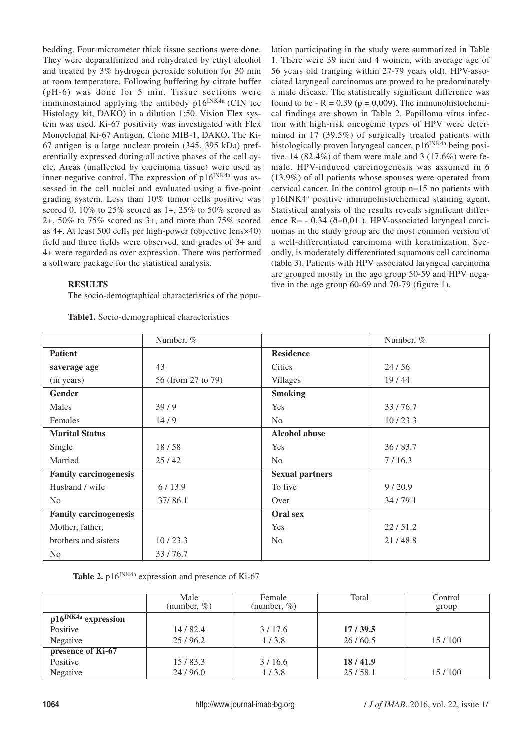bedding. Four micrometer thick tissue sections were done. They were deparaffinized and rehydrated by ethyl alcohol and treated by 3% hydrogen peroxide solution for 30 min at room temperature. Following buffering by citrate buffer (pH-6) was done for 5 min. Tissue sections were immunostained applying the antibody  $p16^{INK4a}$  (CIN tec Histology kit, DAKO) in a dilution 1:50. Vision Flex system was used. Ki-67 positivity was investigated with Flex Monoclonal Ki-67 Antigen, Clone MIB-1, DAKO. The Ki-67 antigen is a large nuclear protein (345, 395 kDa) preferentially expressed during all active phases of the cell cycle. Areas (unaffected by carcinoma tissue) were used as inner negative control. The expression of  $p16^{INK4a}$  was assessed in the cell nuclei and evaluated using a five-point grading system. Less than 10% tumor cells positive was scored 0, 10% to 25% scored as 1+, 25% to 50% scored as 2+, 50% to 75% scored as 3+, and more than 75% scored as 4+. At least 500 cells per high-power (objective lens×40) field and three fields were observed, and grades of 3+ and 4+ were regarded as over expression. There was performed a software package for the statistical analysis.

# **RESULTS**

The socio-demographical characteristics of the popu-

**Table1.** Socio-demographical characteristics

lation participating in the study were summarized in Table 1. There were 39 men and 4 women, with average age of 56 years old (ranging within 27-79 years old). HPV-associated laryngeal carcinomas are proved to be predominately a male disease. The statistically significant difference was found to be  $-R = 0.39$  ( $p = 0.009$ ). The immunohistochemical findings are shown in Table 2. Papilloma virus infection with high-risk oncogenic types of HPV were determined in 17 (39.5%) of surgically treated patients with histologically proven laryngeal cancer, p16<sup>INK4a</sup> being positive. 14  $(82.4\%)$  of them were male and 3  $(17.6\%)$  were female. HPV-induced carcinogenesis was assumed in 6 (13.9%) of all patients whose spouses were operated from cervical cancer. In the control group n=15 no patients with p16INK4ª positive immunohistochemical staining agent. Statistical analysis of the results reveals significant difference R= - 0,34 (ð=0,01 ). HPV-associated laryngeal carcinomas in the study group are the most common version of a well-differentiated carcinoma with keratinization. Secondly, is moderately differentiated squamous cell carcinoma (table 3). Patients with HPV associated laryngeal carcinoma are grouped mostly in the age group 50-59 and HPV negative in the age group 60-69 and 70-79 (figure 1).

|                              | Number, %          |                        | Number, % |
|------------------------------|--------------------|------------------------|-----------|
| <b>Patient</b>               |                    | <b>Residence</b>       |           |
| saverage age                 | 43                 | Cities                 | 24/56     |
| (in years)                   | 56 (from 27 to 79) | <b>Villages</b>        | 19/44     |
| Gender                       |                    | <b>Smoking</b>         |           |
| Males                        | 39/9               | <b>Yes</b>             | 33/76.7   |
| Females                      | 14/9               | N <sub>o</sub>         | 10/23.3   |
| <b>Marital Status</b>        |                    | <b>Alcohol abuse</b>   |           |
| Single                       | 18/58              | Yes                    | 36/83.7   |
| Married                      | 25/42              | N <sub>o</sub>         | 7/16.3    |
| <b>Family carcinogenesis</b> |                    | <b>Sexual partners</b> |           |
| Husband / wife               | 6/13.9             | To five                | 9/20.9    |
| N <sub>o</sub>               | 37/86.1            | Over                   | 34/79.1   |
| <b>Family carcinogenesis</b> |                    | Oral sex               |           |
| Mother, father,              |                    | <b>Yes</b>             | 22/51.2   |
| brothers and sisters         | 10/23.3            | N <sub>o</sub>         | 21/48.8   |
| N <sub>o</sub>               | 33/76.7            |                        |           |

Table 2. p16<sup>INK4a</sup> expression and presence of Ki-67

|                                 | Male<br>(number, $\%$ ) | Female<br>(number, $\%$ ) | Total   | Control<br>group |
|---------------------------------|-------------------------|---------------------------|---------|------------------|
| p16 <sup>INK4a</sup> expression |                         |                           |         |                  |
| Positive                        | 14/82.4                 | 3/17.6                    | 17/39.5 |                  |
| Negative                        | 25/96.2                 | 1/3.8                     | 26/60.5 | 15/100           |
| presence of Ki-67               |                         |                           |         |                  |
| Positive                        | 15/83.3                 | 3/16.6                    | 18/41.9 |                  |
| Negative                        | 24/96.0                 | 1/3.8                     | 25/58.1 | 15/100           |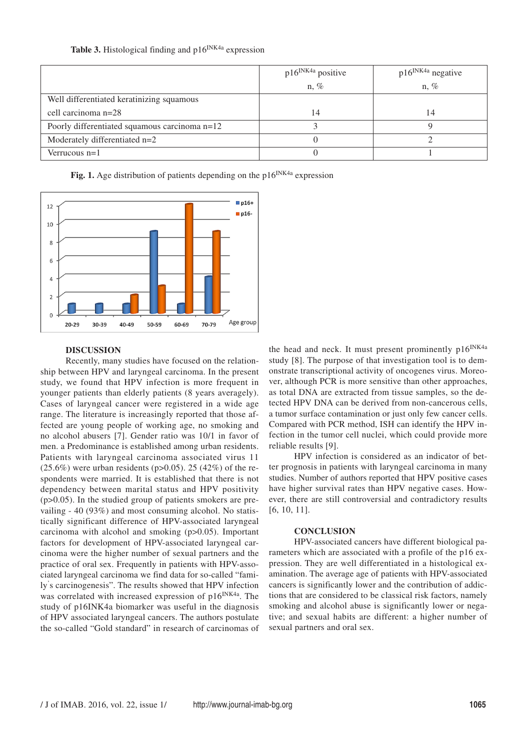|                                               | $p16^{INK4a}$ positive | $p16^{INK4a}$ negative |
|-----------------------------------------------|------------------------|------------------------|
|                                               | $n, \%$                | $n, \%$                |
| Well differentiated keratinizing squamous     |                        |                        |
| cell carcinoma n=28                           | 14                     | 14                     |
| Poorly differentiated squamous carcinoma n=12 |                        |                        |
| Moderately differentiated n=2                 |                        |                        |
| Verrucous $n=1$                               |                        |                        |

**Table 3.** Histological finding and  $p16^{NK4a}$  expression



Fig. 1. Age distribution of patients depending on the p16<sup>INK4a</sup> expression

### **DISCUSSION**

Recently, many studies have focused on the relationship between HPV and laryngeal carcinoma. In the present study, we found that HPV infection is more frequent in younger patients than elderly patients (8 years averagely). Cases of laryngeal cancer were registered in a wide age range. The literature is increasingly reported that those affected are young people of working age, no smoking and no alcohol abusers [7]. Gender ratio was 10/1 in favor of men. a Predominance is established among urban residents. Patients with laryngeal carcinoma associated virus 11  $(25.6\%)$  were urban residents (p>0.05). 25 (42%) of the respondents were married. It is established that there is not dependency between marital status and HPV positivity (p>0.05). In the studied group of patients smokers are prevailing - 40 (93%) and most consuming alcohol. No statistically significant difference of HPV-associated laryngeal carcinoma with alcohol and smoking (p>0.05). Important factors for development of HPV-associated laryngeal carcinoma were the higher number of sexual partners and the practice of oral sex. Frequently in patients with HPV-associated laryngeal carcinoma we find data for so-called "family' s carcinogenesis". The results showed that HPV infection was correlated with increased expression of p16<sup>INK4a</sup>. The study of p16INK4a biomarker was useful in the diagnosis of HPV associated laryngeal cancers. The authors postulate the so-called "Gold standard" in research of carcinomas of the head and neck. It must present prominently p16<sup>INK4a</sup> study [8]. The purpose of that investigation tool is to demonstrate transcriptional activity of oncogenes virus. Moreover, although PCR is more sensitive than other approaches, as total DNA are extracted from tissue samples, so the detected HPV DNA can be derived from non-cancerous cells, a tumor surface contamination or just only few cancer cells. Compared with PCR method, ISH can identify the HPV infection in the tumor cell nuclei, which could provide more reliable results [9].

HPV infection is considered as an indicator of better prognosis in patients with laryngeal carcinoma in many studies. Number of authors reported that HPV positive cases have higher survival rates than HPV negative cases. However, there are still controversial and contradictory results [6, 10, 11].

## **CONCLUSION**

HPV-associated cancers have different biological parameters which are associated with a profile of the p16 expression. They are well differentiated in a histological examination. The average age of patients with HPV-associated cancers is significantly lower and the contribution of addictions that are considered to be classical risk factors, namely smoking and alcohol abuse is significantly lower or negative; and sexual habits are different: a higher number of sexual partners and oral sex.